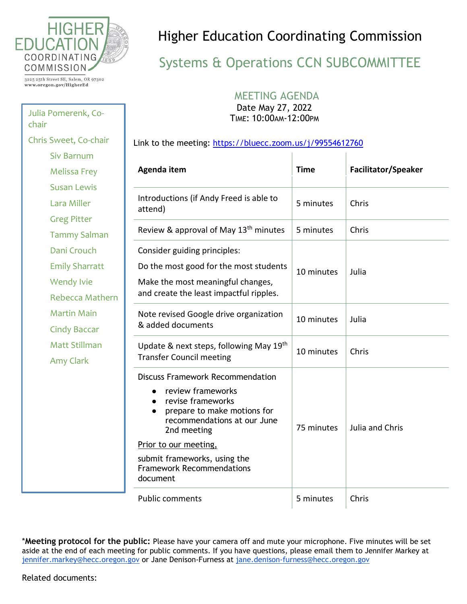

3225 25th Street SE, Salem, OR 97302 www.oregon.gov/HigherEd

Julia Pomerenk, Co-

Chris Sweet, Co-chair

chair

## Higher Education Coordinating Commission

## Systems & Operations CCN SUBCOMMITTEE

 MEETING AGENDA Date May 27, 2022 TIME: 10:00AM-12:00PM

Link to the meeting:<https://bluecc.zoom.us/j/99554612760>

| <b>Siv Barnum</b>     |                                                                                                                                                                                                                                                                         |             |                     |
|-----------------------|-------------------------------------------------------------------------------------------------------------------------------------------------------------------------------------------------------------------------------------------------------------------------|-------------|---------------------|
| <b>Melissa Frey</b>   | Agenda item                                                                                                                                                                                                                                                             | <b>Time</b> | Facilitator/Speaker |
| <b>Susan Lewis</b>    |                                                                                                                                                                                                                                                                         |             |                     |
| Lara Miller           | Introductions (if Andy Freed is able to<br>attend)                                                                                                                                                                                                                      | 5 minutes   | Chris               |
| <b>Greg Pitter</b>    |                                                                                                                                                                                                                                                                         |             |                     |
| <b>Tammy Salman</b>   | Review & approval of May 13 <sup>th</sup> minutes                                                                                                                                                                                                                       | 5 minutes   | Chris               |
| Dani Crouch           | Consider guiding principles:                                                                                                                                                                                                                                            |             |                     |
| <b>Emily Sharratt</b> | Do the most good for the most students                                                                                                                                                                                                                                  | 10 minutes  | Julia               |
| <b>Wendy Ivie</b>     | Make the most meaningful changes,<br>and create the least impactful ripples.                                                                                                                                                                                            |             |                     |
| Rebecca Mathern       |                                                                                                                                                                                                                                                                         |             |                     |
| <b>Martin Main</b>    | Note revised Google drive organization<br>& added documents                                                                                                                                                                                                             | 10 minutes  | Julia               |
| <b>Cindy Baccar</b>   |                                                                                                                                                                                                                                                                         |             |                     |
| <b>Matt Stillman</b>  | Update & next steps, following May 19th<br><b>Transfer Council meeting</b>                                                                                                                                                                                              | 10 minutes  | Chris               |
| <b>Amy Clark</b>      |                                                                                                                                                                                                                                                                         |             |                     |
|                       | <b>Discuss Framework Recommendation</b><br>review frameworks<br>revise frameworks<br>prepare to make motions for<br>recommendations at our June<br>2nd meeting<br>Prior to our meeting,<br>submit frameworks, using the<br><b>Framework Recommendations</b><br>document | 75 minutes  | Julia and Chris     |
|                       | <b>Public comments</b>                                                                                                                                                                                                                                                  | 5 minutes   | Chris               |

\***Meeting protocol for the public:** Please have your camera off and mute your microphone. Five minutes will be set aside at the end of each meeting for public comments. If you have questions, please email them to Jennifer Markey at [jennifer.markey@hecc.oregon.gov](mailto:jennifer.markey@hecc.oregon.gov) or Jane Denison-Furness at [jane.denison-furness@hecc.oregon.gov](mailto:jane.denison-furness@hecc.oregon.gov)